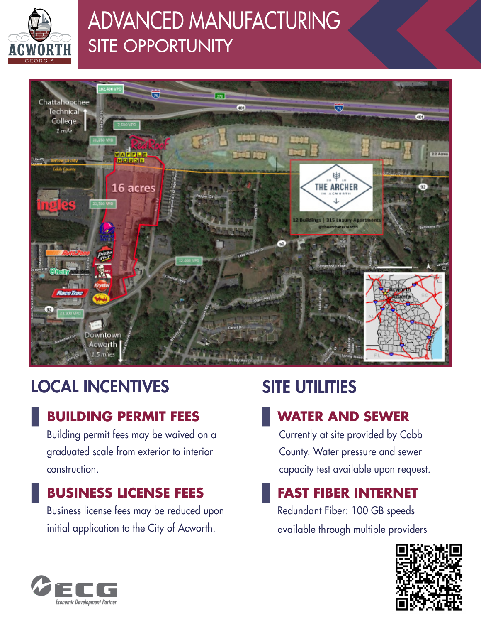

# ADVANCED MANUFACTURING SITE OPPORTUNITY



## LOCAL INCENTIVES

### **BUILDING PERMIT FEES**

Building permit fees may be waived on a graduated scale from exterior to interior construction.

### **BUSINESS LICENSE FEES**

Business license fees may be reduced upon initial application to the City of Acworth.

## SITE UTILITIES

## **WATER AND SEWER**

Currently at site provided by Cobb County. Water pressure and sewer capacity test available upon request.

### **FAST FIBER INTERNET**

Redundant Fiber: 100 GB speeds available through multiple providers



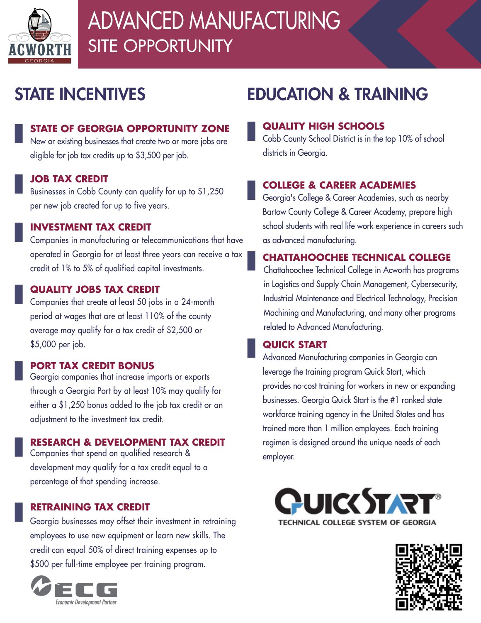

# ADVANCED MANUFACTURING SITE OPPORTUNITY

## STATE INCENTIVES

### **STATE OF GEORGIA OPPORTUNITY ZONE**

New or existing businesses that create two or more jobs are eligible for job tax credits up to \$3,500 per job.

#### **JOB TAX CREDIT**

Businesses in Cobb County can qualify for up to \$1,250 per new job created for up to five years.

#### **INVESTMENT TAX CREDIT**

Companies in manufacturing or telecommunications that have operated in Georgia for at least three years can receive a tax credit of 1% to 5% of qualified capital investments.

#### **QUALITY JOBS TAX CREDIT**

Companies that create at least 50 jobs in a 24-month period at wages that are at least 110% of the county average may qualify for a tax credit of \$2,500 or \$5,000 per job.

#### **PORT TAX CREDIT BONUS**

Georgia companies that increase imports or exports through a Georgia Port by at least 10% may qualify for either a \$1,250 bonus added to the job tax credit or an adjustment to the investment tax credit.

#### **RESEARCH & DEVELOPMENT TAX CREDIT**

Companies that spend on qualified research & development may qualify for a tax credit equal to a percentage of that spending increase.

#### **RETRAINING TAX CREDIT**

Georgia businesses may offset their investment in retraining employees to use new equipment or learn new skills. The credit can equal 50% of direct training expenses up to \$500 per full-time employee per training program.



## EDUCATION & TRAINING

#### **QUALITY HIGH SCHOOLS**

Cobb County School District is in the top 10% of school districts in Georgia.

#### **COLLEGE & CAREER ACADEMIES**

Georgia's College & Career Academies, such as nearby Bartow County College & Career Academy, prepare high school students with real life work experience in careers such as advanced manufacturing.

#### **CHATTAHOOCHEE TECHNICAL COLLEGE**

Chattahoochee Technical College in Acworth has programs in Logistics and Supply Chain Management, Cybersecurity, Industrial Maintenance and Electrical Technology, Precision Machining and Manufacturing, and many other programs related to Advanced Manufacturing.

#### **QUICK START**

Advanced Manufacturing companies in Georgia can leverage the training program Quick Start, which provides no-cost training for workers in new or expanding businesses. Georgia Quick Start is the #1 ranked state workforce training agency in the United States and has trained more than 1 million employees. Each training regimen is designed around the unique needs of each employer.



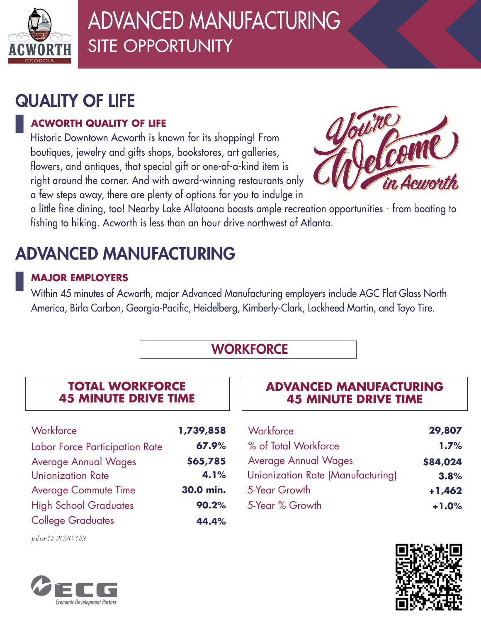

# ADVANCED MANUFACTURING SITE OPPORTUNITY

## QUALITY OF LIFE

### **ACWORTH QUALITY OF LIFE**

Historic Downtown Acworth is known for its shopping! From boutiques, jewelry and gifts shops, bookstores, art galleries, flowers, and antiques, that special gift or one-of-a-kind item is right around the corner. And with award-winning restaurants only a few steps away, there are plenty of options for you to indulge in



a little fine dining, too! Nearby Lake Allatoona boasts ample recreation opportunities - from boating to fishing to hiking. Acworth is less than an hour drive northwest of Atlanta.

# ADVANCED MANUFACTURING

### **MAJOR EMPLOYERS**

Within 45 minutes of Acworth, major Advanced Manufacturing employers include AGC Flat Glass North America, Birla Carbon, Georgia-Pacific, Heidelberg, Kimberly-Clark, Lockheed Martin, and Toyo Tire.

### **WORKFORCE**

#### **TOTAL WORKFORCE 45 MINUTE DRIVE TIME**

| 1,739,858 |
|-----------|
| 67.9%     |
| \$65,785  |
| 4.1%      |
| 30.0 min. |
| 90.2%     |
| 44.4%     |
|           |

*JobsEQ 2020 Q3*



### **ADVANCED MANUFACTURING 45 MINUTE DRIVE TIME**

| Workforce                         | 29,807   |
|-----------------------------------|----------|
| % of Total Workforce              | 1.7%     |
| <b>Average Annual Wages</b>       | \$84,024 |
| Unionization Rate (Manufacturing) | 3.8%     |
| 5-Year Growth                     | $+1,462$ |
| 5-Year % Growth                   | $+1.0%$  |